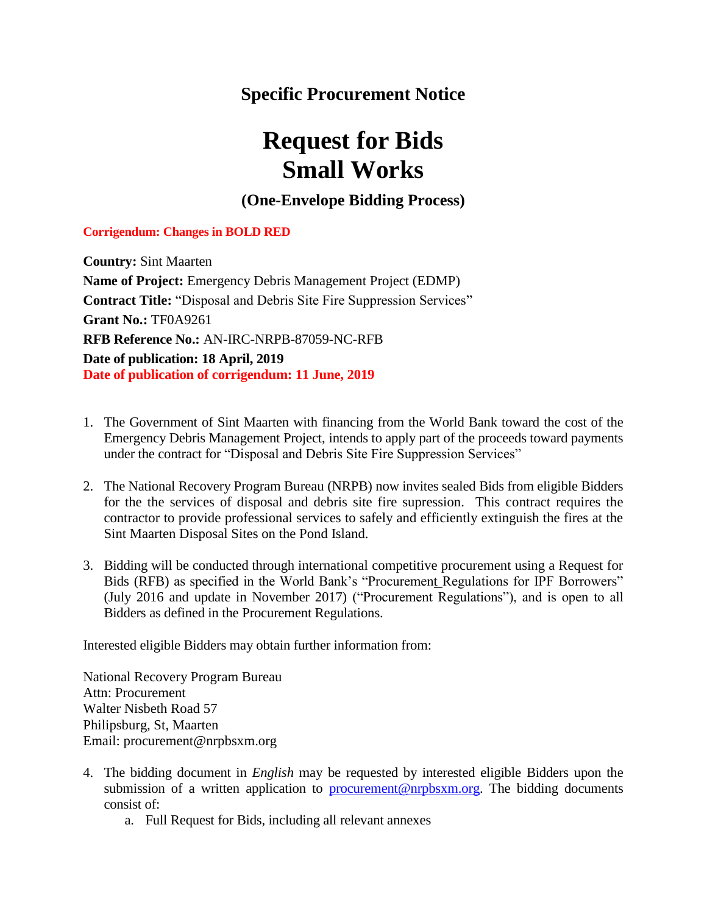## **Specific Procurement Notice**

## **Request for Bids Small Works**

**(One-Envelope Bidding Process)**

## **Corrigendum: Changes in BOLD RED**

**Country:** Sint Maarten **Name of Project:** Emergency Debris Management Project (EDMP) **Contract Title:** "Disposal and Debris Site Fire Suppression Services" **Grant No.:** TF0A9261 **RFB Reference No.:** AN-IRC-NRPB-87059-NC-RFB **Date of publication: 18 April, 2019 Date of publication of corrigendum: 11 June, 2019**

- 1. The Government of Sint Maarten with financing from the World Bank toward the cost of the Emergency Debris Management Project, intends to apply part of the proceeds toward payments under the contract for "Disposal and Debris Site Fire Suppression Services"
- 2. The National Recovery Program Bureau (NRPB) now invites sealed Bids from eligible Bidders for the the services of disposal and debris site fire supression. This contract requires the contractor to provide professional services to safely and efficiently extinguish the fires at the Sint Maarten Disposal Sites on the Pond Island.
- 3. Bidding will be conducted through international competitive procurement using a Request for Bids (RFB) as specified in the World Bank's "Procurement Regulations for IPF Borrowers" (July 2016 and update in November 2017) ("Procurement Regulations"), and is open to all Bidders as defined in the Procurement Regulations.

Interested eligible Bidders may obtain further information from:

National Recovery Program Bureau Attn: Procurement Walter Nisbeth Road 57 Philipsburg, St, Maarten Email: procurement@nrpbsxm.org

- 4. The bidding document in *English* may be requested by interested eligible Bidders upon the submission of a written application to [procurement@nrpbsxm.org.](mailto:procurement@nrpbsxm.org) The bidding documents consist of:
	- a. Full Request for Bids, including all relevant annexes